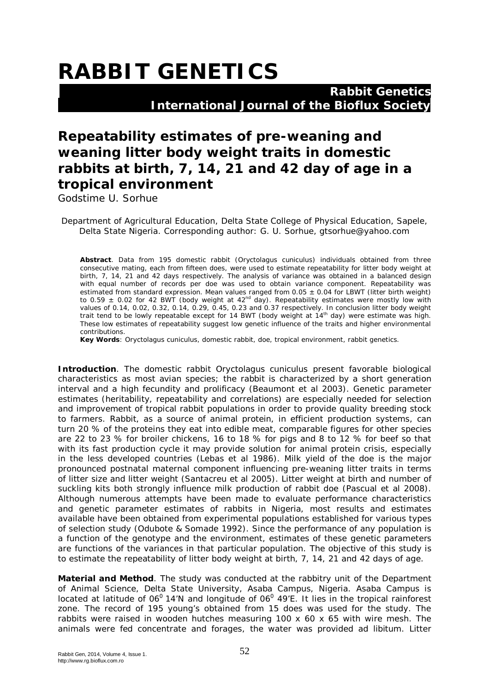## **RABBIT GENETICS**

 **Rabbit Genetics International Journal of the Bioflux Society**

## **Repeatability estimates of pre-weaning and weaning litter body weight traits in domestic rabbits at birth, 7, 14, 21 and 42 day of age in a tropical environment**

Godstime U. Sorhue

Department of Agricultural Education, Delta State College of Physical Education, Sapele, Delta State Nigeria. Corresponding author: G. U. Sorhue, gtsorhue@yahoo.com

**Abstract**. Data from 195 domestic rabbit (*Oryctolagus cuniculus*) individuals obtained from three consecutive mating, each from fifteen does, were used to estimate repeatability for litter body weight at birth, 7, 14, 21 and 42 days respectively. The analysis of variance was obtained in a balanced design with equal number of records per doe was used to obtain variance component. Repeatability was estimated from standard expression. Mean values ranged from 0.05 ± 0.04 for LBWT (litter birth weight) to 0.59  $\pm$  0.02 for 42 BWT (body weight at 42<sup>nd</sup> day). Repeatability estimates were mostly low with values of 0.14, 0.02, 0.32, 0.14, 0.29, 0.45, 0.23 and 0.37 respectively. In conclusion litter body weight trait tend to be lowly repeatable except for 14 BWT (body weight at 14<sup>th</sup> day) were estimate was high. These low estimates of repeatability suggest low genetic influence of the traits and higher environmental contributions.

**Key Words**: *Oryctolagus cuniculus*, domestic rabbit, doe, tropical environment, rabbit genetics.

**Introduction**. The domestic rabbit *Oryctolagus cuniculus* present favorable biological characteristics as most avian species; the rabbit is characterized by a short generation interval and a high fecundity and prolificacy (Beaumont et al 2003). Genetic parameter estimates (heritability, repeatability and correlations) are especially needed for selection and improvement of tropical rabbit populations in order to provide quality breeding stock to farmers. Rabbit, as a source of animal protein, in efficient production systems, can turn 20 % of the proteins they eat into edible meat, comparable figures for other species are 22 to 23 % for broiler chickens, 16 to 18 % for pigs and 8 to 12 % for beef so that with its fast production cycle it may provide solution for animal protein crisis, especially in the less developed countries (Lebas et al 1986). Milk yield of the doe is the major pronounced postnatal maternal component influencing pre-weaning litter traits in terms of litter size and litter weight (Santacreu et al 2005). Litter weight at birth and number of suckling kits both strongly influence milk production of rabbit doe (Pascual et al 2008). Although numerous attempts have been made to evaluate performance characteristics and genetic parameter estimates of rabbits in Nigeria, most results and estimates available have been obtained from experimental populations established for various types of selection study (Odubote & Somade 1992). Since the performance of any population is a function of the genotype and the environment, estimates of these genetic parameters are functions of the variances in that particular population. The objective of this study is to estimate the repeatability of litter body weight at birth, 7, 14, 21 and 42 days of age.

**Material and Method**. The study was conducted at the rabbitry unit of the Department of Animal Science, Delta State University, Asaba Campus, Nigeria. Asaba Campus is located at latitude of  $06^0$  14'N and longitude of  $06^0$  49'E. It lies in the tropical rainforest zone. The record of 195 young's obtained from 15 does was used for the study. The rabbits were raised in wooden hutches measuring 100 x 60 x 65 with wire mesh. The animals were fed concentrate and forages, the water was provided *ad libitum.* Litter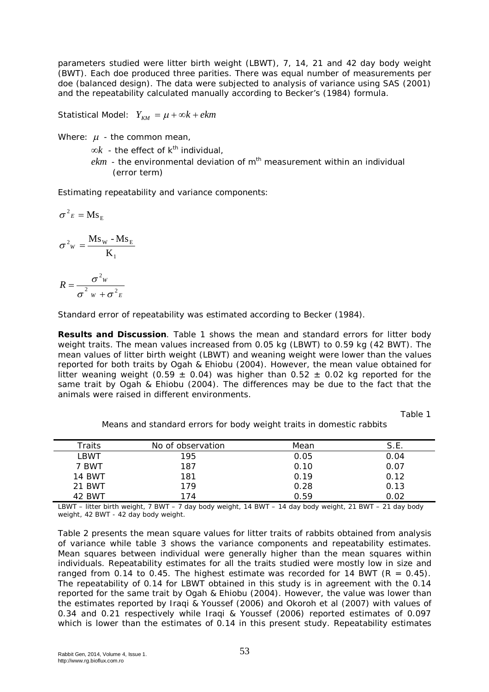parameters studied were litter birth weight (LBWT), 7, 14, 21 and 42 day body weight (BWT). Each doe produced three parities. There was equal number of measurements per doe (balanced design). The data were subjected to analysis of variance using SAS (2001) and the repeatability calculated manually according to Becker's (1984) formula.

Statistical Model:  $Y_{\kappa M} = \mu + \infty k + e k m$ 

Where:  $\mu$  - the common mean,

 $\infty k$  - the effect of  $k^{th}$  individual,

 $ekm$  - the environmental deviation of  $m<sup>th</sup>$  measurement within an individual (error term)

Estimating repeatability and variance components:

$$
\sigma^2 E = \mathbf{M} \mathbf{s}_{\mathbf{E}}
$$

$$
\sigma^2{}_{\scriptscriptstyle W}=\frac{Ms_{\scriptscriptstyle W}\cdot Ms_{\scriptscriptstyle E}}{K_{\scriptscriptstyle 1}}
$$

$$
R = \frac{\sigma^2 w}{\sigma^2 w + \sigma^2 E}
$$

Standard error of repeatability was estimated according to Becker (1984).

**Results and Discussion**. Table 1 shows the mean and standard errors for litter body weight traits. The mean values increased from 0.05 kg (LBWT) to 0.59 kg (42 BWT). The mean values of litter birth weight (LBWT) and weaning weight were lower than the values reported for both traits by Ogah & Ehiobu (2004). However, the mean value obtained for litter weaning weight (0.59  $\pm$  0.04) was higher than 0.52  $\pm$  0.02 kg reported for the same trait by Ogah & Ehiobu (2004). The differences may be due to the fact that the animals were raised in different environments.

Table 1

Means and standard errors for body weight traits in domestic rabbits

| Traits | No of observation | Mean | S.E. |
|--------|-------------------|------|------|
| LBWT   | 195               | 0.05 | 0.04 |
| 7 BWT  | 187               | 0.10 | 0.07 |
| 14 BWT | 181               | 0.19 | 0.12 |
| 21 BWT | 179               | 0.28 | 0.13 |
| 42 BWT | 174               | 0.59 | 0.02 |

LBWT – litter birth weight, 7 BWT – 7 day body weight, 14 BWT – 14 day body weight, 21 BWT – 21 day body weight, 42 BWT - 42 day body weight.

Table 2 presents the mean square values for litter traits of rabbits obtained from analysis of variance while table 3 shows the variance components and repeatability estimates. Mean squares between individual were generally higher than the mean squares within individuals. Repeatability estimates for all the traits studied were mostly low in size and ranged from 0.14 to 0.45. The highest estimate was recorded for 14 BWT ( $R = 0.45$ ). The repeatability of 0.14 for LBWT obtained in this study is in agreement with the 0.14 reported for the same trait by Ogah & Ehiobu (2004). However, the value was lower than the estimates reported by Iraqi & Youssef (2006) and Okoroh et al (2007) with values of 0.34 and 0.21 respectively while Iraqi & Youssef (2006) reported estimates of 0.097 which is lower than the estimates of 0.14 in this present study. Repeatability estimates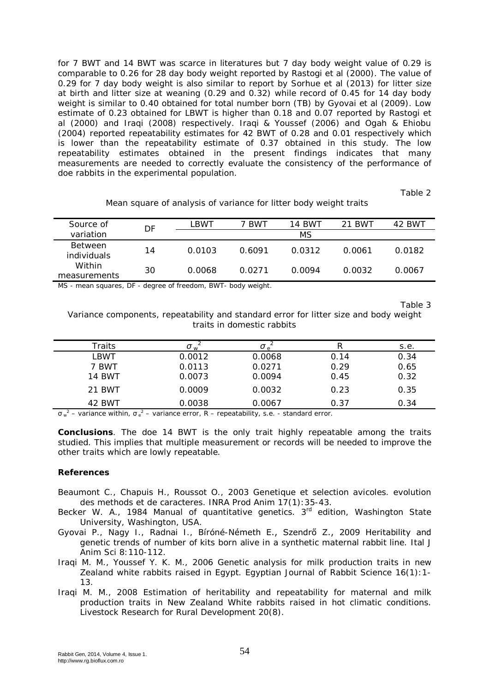for 7 BWT and 14 BWT was scarce in literatures but 7 day body weight value of 0.29 is comparable to 0.26 for 28 day body weight reported by Rastogi et al (2000). The value of 0.29 for 7 day body weight is also similar to report by Sorhue et al (2013) for litter size at birth and litter size at weaning (0.29 and 0.32) while record of 0.45 for 14 day body weight is similar to 0.40 obtained for total number born (TB) by Gyovai et al (2009). Low estimate of 0.23 obtained for LBWT is higher than 0.18 and 0.07 reported by Rastogi et al (2000) and Iraqi (2008) respectively. Iraqi & Youssef (2006) and Ogah & Ehiobu (2004) reported repeatability estimates for 42 BWT of 0.28 and 0.01 respectively which is lower than the repeatability estimate of 0.37 obtained in this study. The low repeatability estimates obtained in the present findings indicates that many measurements are needed to correctly evaluate the consistency of the performance of doe rabbits in the experimental population.

Table 2

| Source of                            | DF | LBWT   | BWT    | 14 BWT | 21 BWT | 42 BWT |
|--------------------------------------|----|--------|--------|--------|--------|--------|
| variation                            |    |        |        | МS     |        |        |
| <b>Between</b><br><i>individuals</i> | 14 | 0.0103 | 0.6091 | 0.0312 | 0.0061 | 0.0182 |
| Within<br>measurements               | 30 | 0.0068 | 0.0271 | 0.0094 | 0.0032 | 0.0067 |

Mean square of analysis of variance for litter body weight traits

MS - mean squares, DF - degree of freedom, BWT- body weight.

Table 3

Variance components, repeatability and standard error for litter size and body weight traits in domestic rabbits

| Traits        | σ<br>M |        |      | s.e. |
|---------------|--------|--------|------|------|
| LBWT          | 0.0012 | 0.0068 | 0.14 | 0.34 |
| 7 BWT         | 0.0113 | 0.0271 | 0.29 | 0.65 |
| <b>14 BWT</b> | 0.0073 | 0.0094 | 0.45 | 0.32 |
| 21 BWT        | 0.0009 | 0.0032 | 0.23 | 0.35 |
| 42 BWT        | 0.0038 | 0.0067 | 0.37 | 0.34 |

 $\sigma_w^2$  – variance within,  $\sigma_e^2$  – variance error, R – repeatability, s.e. - standard error.

**Conclusions**. The doe 14 BWT is the only trait highly repeatable among the traits studied. This implies that multiple measurement or records will be needed to improve the other traits which are lowly repeatable.

## **References**

- Beaumont C., Chapuis H., Roussot O., 2003 Genetique et selection avicoles. evolution des methods et de caracteres. INRA Prod Anim 17(1):35-43.
- Becker W. A., 1984 Manual of quantitative genetics. 3<sup>rd</sup> edition, Washington State University, Washington, USA.
- Gyovai P., Nagy I., Radnai I., Bíróné-Németh E., Szendrő Z., 2009 Heritability and genetic trends of number of kits born alive in a synthetic maternal rabbit line. Ital J Anim Sci 8:110-112.
- Iraqi M. M., Youssef Y. K. M., 2006 Genetic analysis for milk production traits in new Zealand white rabbits raised in Egypt. Egyptian Journal of Rabbit Science 16(1):1- 13.
- Iraqi M. M., 2008 Estimation of heritability and repeatability for maternal and milk production traits in New Zealand White rabbits raised in hot climatic conditions. Livestock Research for Rural Development 20(8).